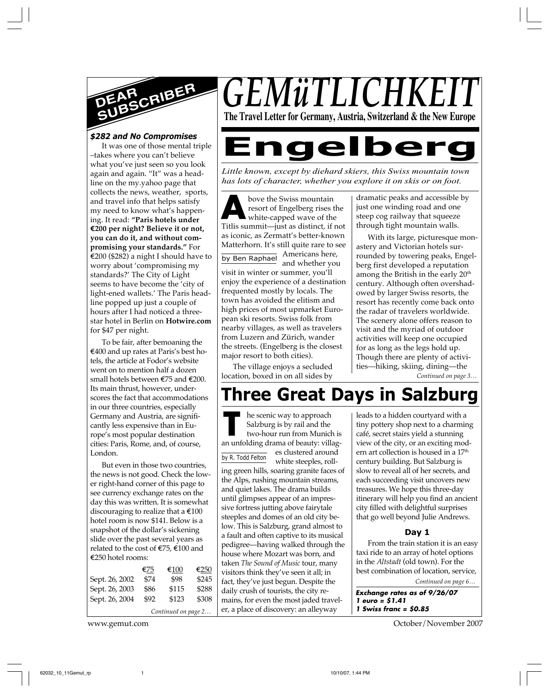

#### *\$282 and No Compromises*

It was one of those mental triple –takes where you can't believe what you've just seen so you look again and again. "It" was a headline on the my.yahoo page that collects the news, weather, sports, and travel info that helps satisfy my need to know what's happening. It read: **"Paris hotels under E200 per night? Believe it or not, you can do it, and without compromising your standards."** For  $\epsilon$ 200 (\$282) a night I should have to worry about 'compromising my standards?' The City of Light seems to have become the 'city of light-ened wallets.' The Paris headline popped up just a couple of hours after I had noticed a threestar hotel in Berlin on **Hotwire.com** for \$47 per night.

To be fair, after bemoaning the E400 and up rates at Paris's best hotels, the article at Fodor's website went on to mention half a dozen small hotels between E75 and E200. Its main thrust, however, underscores the fact that accommodations in our three countries, especially Germany and Austria, are significantly less expensive than in Europe's most popular destination cities: Paris, Rome, and, of course, London.

But even in those two countries, the news is not good. Check the lower right-hand corner of this page to see currency exchange rates on the day this was written. It is somewhat discouraging to realize that a  $\epsilon$ 100 hotel room is now \$141. Below is a snapshot of the dollar's sickening slide over the past several years as related to the cost of  $\mathfrak{\in}75, \mathfrak{\in}100$  and E250 hotel rooms:

|                     | €75  | €100  | €250  |  |  |  |
|---------------------|------|-------|-------|--|--|--|
| Sept. 26, 2002      | \$74 | \$98  | \$245 |  |  |  |
| Sept. 26, 2003      | \$86 | \$115 | \$288 |  |  |  |
| Sept. 26, 2004      | \$92 | \$123 | \$308 |  |  |  |
| Continued on page 2 |      |       |       |  |  |  |

*GEMüTLICHI* **The Travel Letter for Germany, Austria, Switzerland & the New Europe**

# **Engelberg**

*Little known, except by diehard skiers, this Swiss mountain town has lots of character, whether you explore it on skis or on foot.*

bove the Swiss mountain<br>
resort of Engelberg rises the<br>
Titlis summit—just as distinct, if not by Ben Raphael Americans here, bove the Swiss mountain resort of Engelberg rises the white-capped wave of the as iconic, as Zermatt's better-known Matterhorn. It's still quite rare to see and whether you visit in winter or summer, you'll enjoy the experience of a destination frequented mostly by locals. The town has avoided the elitism and high prices of most upmarket European ski resorts. Swiss folk from nearby villages, as well as travelers from Luzern and Zürich, wander the streets. (Engelberg is the closest major resort to both cities).

The village enjoys a secluded location, boxed in on all sides by

dramatic peaks and accessible by just one winding road and one steep cog railway that squeeze through tight mountain walls.

With its large, picturesque monastery and Victorian hotels surrounded by towering peaks, Engelberg first developed a reputation among the British in the early 20<sup>th</sup> century. Although often overshadowed by larger Swiss resorts, the resort has recently come back onto the radar of travelers worldwide. The scenery alone offers reason to visit and the myriad of outdoor activities will keep one occupied for as long as the legs hold up. Though there are plenty of activities—hiking, skiing, dining—the

*Continued on page 3…*

## **Three Great Days in Salzburg**

by R. Todd Felton **THE SECT AND APPROX** be scenic way to approach Salzburg is by rail and the two-hour run from Munich is an unfolding drama of beauty: villaghe scenic way to approach Salzburg is by rail and the two-hour run from Munich is es clustered around white steeples, rolling green hills, soaring granite faces of the Alps, rushing mountain streams, and quiet lakes. The drama builds until glimpses appear of an impressive fortress jutting above fairytale steeples and domes of an old city below. This is Salzburg, grand almost to a fault and often captive to its musical pedigree—having walked through the house where Mozart was born, and taken *The Sound of Music* tour, many visitors think they've seen it all; in fact, they've just begun. Despite the daily crush of tourists, the city remains, for even the most jaded traveler, a place of discovery: an alleyway

leads to a hidden courtyard with a tiny pottery shop next to a charming café, secret stairs yield a stunning view of the city, or an exciting modern art collection is housed in a 17<sup>th</sup> century building. But Salzburg is slow to reveal all of her secrets, and each succeeding visit uncovers new treasures. We hope this three-day itinerary will help you find an ancient city filled with delightful surprises that go well beyond Julie Andrews.

#### **Day 1**

From the train station it is an easy taxi ride to an array of hotel options in the *Altstadt* (old town). For the best combination of location, service,

**Exchange rates as of 9/26/07 1 euro = \$1.41 1 Swiss franc = \$0.85**

www.gemut.com October/November 2007

*Continued on page 6…*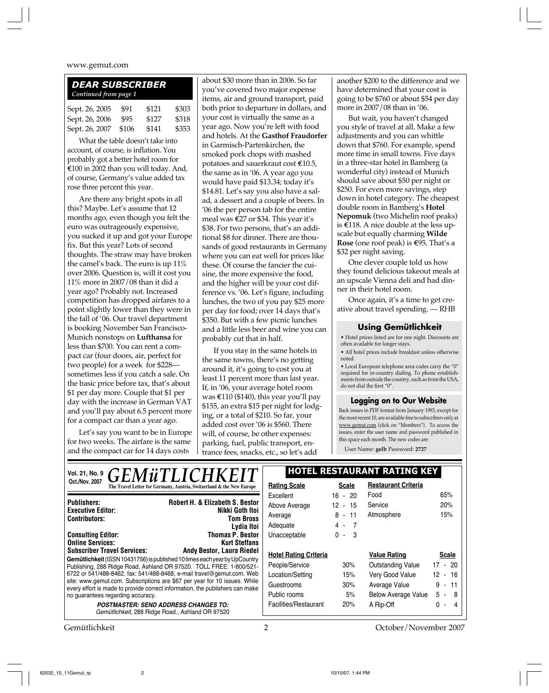## *DEAR SUBSCRIBER Continued from page 1* Sept. 26, 2005 \$91 \$121 \$303

Sept. 26, 2006 \$95 \$127 \$318 Sept. 26, 2007 \$106 \$141 \$353

What the table doesn't take into account, of course, is inflation. You probably got a better hotel room for E100 in 2002 than you will today. And, of course, Germany's value added tax rose three percent this year.

Are there any bright spots in all this? Maybe. Let's assume that 12 months ago, even though you felt the euro was outrageously expensive, you sucked it up and got your Europe fix. But this year? Lots of second thoughts. The straw may have broken the camel's back. The euro is up 11% over 2006. Question is, will it cost you 11% more in 2007/08 than it did a year ago? Probably not. Increased competition has dropped airfares to a point slightly lower than they were in the fall of '06. Our travel department is booking November San Francisco-Munich nonstops on **Lufthansa** for less than \$700. You can rent a compact car (four doors, air, perfect for two people) for a week for \$228 sometimes less if you catch a sale. On the basic price before tax, that's about \$1 per day more. Couple that \$1 per day with the increase in German VAT and you'll pay about 6.5 percent more for a compact car than a year ago.

Let's say you want to be in Europe for two weeks. The airfare is the same and the compact car for 14 days costs

about \$30 more than in 2006. So far you've covered two major expense items, air and ground transport, paid both prior to departure in dollars, and your cost is virtually the same as a year ago. Now you're left with food and hotels. At the **Gasthof Fraudorfer** in Garmisch-Partenkirchen, the smoked pork chops with mashed potatoes and sauerkraut cost E10.5, the same as in '06. A year ago you would have paid \$13.34; today it's \$14.81. Let's say you also have a salad, a dessert and a couple of beers. In '06 the per person tab for the entire meal was  $\epsilon$ 27 or \$34. This year it's \$38. For two persons, that's an additional \$8 for dinner. There are thousands of good restaurants in Germany where you can eat well for prices like these. Of course the fancier the cuisine, the more expensive the food, and the higher will be your cost difference vs. '06. Let's figure, including lunches, the two of you pay \$25 more per day for food; over 14 days that's \$350. But with a few picnic lunches and a little less beer and wine you can probably cut that in half.

If you stay in the same hotels in the same towns, there's no getting around it, it's going to cost you at least 11 percent more than last year. If, in '06, your average hotel room was  $\text{\textsterling}110 \text{ (\$140)}$ , this year you'll pay \$155, an extra \$15 per night for lodging, or a total of \$210. So far, your added cost over '06 is \$560. There will, of course, be other expenses: parking, fuel, public transport, entrance fees, snacks, etc., so let's add

another \$200 to the difference and we have determined that your cost is going to be \$760 or about \$54 per day more in 2007/08 than in '06.

But wait, you haven't changed you style of travel at all. Make a few adjustments and you can whittle down that \$760. For example, spend more time in small towns. Five days in a three-star hotel in Bamberg (a wonderful city) instead of Munich should save about \$50 per night or \$250. For even more savings, step down in hotel category. The cheapest double room in Bamberg's **Hotel Nepomuk** (two Michelin roof peaks) is  $\text{\textsterling}118$ . A nice double at the less upscale but equally charming **Wilde Rose** (one roof peak) is €95. That's a \$32 per night saving.

One clever couple told us how they found delicious takeout meals at an upscale Vienna deli and had dinner in their hotel room.

Once again, it's a time to get creative about travel spending. — RHB

#### **Using Gemütlichkeit**

• Hotel prices listed are for one night. Discounts are often available for longer stays.

• All hotel prices include breakfast unless otherwise noted.

 $\bullet$  Local European telephone area codes carry the "0" required for in-country dialing. To phone establishments from outside the country, such as from the USA, do not dial the first "0".

#### **Logging on to Our Website**

Back issues in PDF format from January 1993, except for the most recent 10, are available free to subscribers only at www.gemut.com (click on "Members"). To access the issues, enter the user name and password published in this space each month. The new codes are:

User Name: **gelb** Password: **2727**

| <i><b>GEMüTLICHKEIT</b></i><br>Vol. 21, No. 9                                                                                                             | <b>HOTEL RESTAURANT RATING KEY</b>                                                              |                       |                     |                            |                                       |
|-----------------------------------------------------------------------------------------------------------------------------------------------------------|-------------------------------------------------------------------------------------------------|-----------------------|---------------------|----------------------------|---------------------------------------|
| <b>Oct./Nov. 2007</b>                                                                                                                                     | The Travel Letter for Germany, Austria, Switzerland & the New Europe                            | <b>Rating Scale</b>   | <b>Scale</b>        | <b>Restaurant Criteria</b> |                                       |
|                                                                                                                                                           |                                                                                                 | Excellent             | $16 - 20$           | Food                       | 65%                                   |
| <b>Publishers:</b>                                                                                                                                        | <b>Robert H. &amp; Elizabeth S. Bestor</b>                                                      | Above Average         | 12 - 15             | Service                    | 20%                                   |
| Nikki Goth Itoi<br><b>Executive Editor:</b><br><b>Tom Bross</b><br><b>Contributors:</b>                                                                   | Average                                                                                         | $8 - 11$              | Atmosphere          | 15%                        |                                       |
|                                                                                                                                                           | Lydia Itoi                                                                                      | Adequate              | $4 - 7$             |                            |                                       |
| <b>Consulting Editor:</b>                                                                                                                                 | <b>Thomas P. Bestor</b>                                                                         | Unacceptable          | $0 - 3$             |                            |                                       |
| <b>Online Services:</b>                                                                                                                                   | <b>Kurt Steffans</b><br><b>Andy Bestor, Laura Riedel</b>                                        |                       |                     |                            |                                       |
| <b>Subscriber Travel Services:</b>                                                                                                                        | <b>Hotel Rating Criteria</b>                                                                    |                       | <b>Value Rating</b> | <b>Scale</b>               |                                       |
| Gemütlichkeit (ISSN 10431756) is published 10 times each year by UpCountry<br>Publishing, 288 Ridge Road, Ashland OR 97520. TOLL FREE: 1-800/521-         | People/Service                                                                                  | 30%                   | Outstanding Value   | $17 - 20$                  |                                       |
| 6722 or 541/488-8462, fax: 541/488-8468, e-mail travel@gemut.com. Web                                                                                     | Location/Setting                                                                                | 15%                   | Very Good Value     | $12 - 16$                  |                                       |
| site: www.gemut.com. Subscriptions are \$67 per year for 10 issues. While<br>every effort is made to provide correct information, the publishers can make | Guestrooms                                                                                      | 30%                   | Average Value       | 9<br>$-11$                 |                                       |
| no guarantees regarding accuracy.                                                                                                                         |                                                                                                 |                       | 5%                  | <b>Below Average Value</b> | $5 - 8$                               |
|                                                                                                                                                           | <b>POSTMASTER: SEND ADDRESS CHANGES TO:</b><br>Gemütlichkeit, 288 Ridge Road., Ashland OR 97520 | Facilities/Restaurant | 20%                 | A Rip-Off                  | 0<br>$\overline{4}$<br>$\blacksquare$ |
|                                                                                                                                                           |                                                                                                 |                       |                     |                            |                                       |

Gemütlichkeit 2 October/November 2007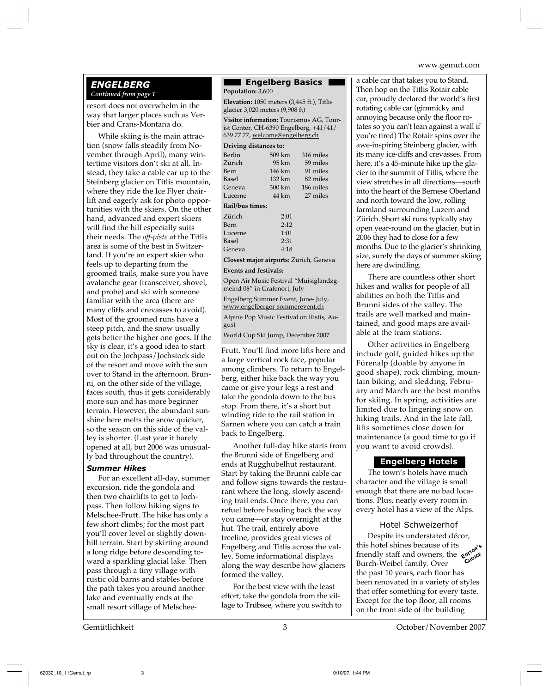#### *ENGELBERG Continued from page 1*

resort does not overwhelm in the way that larger places such as Verbier and Crans-Montana do.

While skiing is the main attraction (snow falls steadily from November through April), many wintertime visitors don't ski at all. Instead, they take a cable car up to the Steinberg glacier on Titlis mountain, where they ride the Ice Flyer chairlift and eagerly ask for photo opportunities with the skiers. On the other hand, advanced and expert skiers will find the hill especially suits their needs. The *off-piste* at the Titlis area is some of the best in Switzerland. If you're an expert skier who feels up to departing from the groomed trails, make sure you have avalanche gear (transceiver, shovel, and probe) and ski with someone familiar with the area (there are many cliffs and crevasses to avoid). Most of the groomed runs have a steep pitch, and the snow usually gets better the higher one goes. If the sky is clear, it's a good idea to start out on the Jochpass/Jochstock side of the resort and move with the sun over to Stand in the afternoon. Brunni, on the other side of the village, faces south, thus it gets considerably more sun and has more beginner terrain. However, the abundant sunshine here melts the snow quicker, so the season on this side of the valley is shorter. (Last year it barely opened at all, but 2006 was unusually bad throughout the country).

#### *Summer Hikes*

For an excellent all-day, summer excursion, ride the gondola and then two chairlifts to get to Jochpass. Then follow hiking signs to Melschee-Frutt. The hike has only a few short climbs; for the most part you'll cover level or slightly downhill terrain. Start by skirting around a long ridge before descending toward a sparkling glacial lake. Then pass through a tiny village with rustic old barns and stables before the path takes you around another lake and eventually ends at the small resort village of Melschee**Engelberg Basics**

**Population:** 3,600 **Elevation:** 1050 meters (3,445 ft.), Titlis glacier 3,020 meters (9,908 ft) **Visitor information:** Tourismus AG, Tourist Center, CH-6390 Engelberg, +41/41/ 639 77 77, welcome@engelberg.ch **Driving distances to:** Berlin 509 km 316 miles<br>
7iirich 95 km 59 miles 59 miles Bern 146 km 91 miles Basel 132 km 82 miles Geneva 300 km 186 miles Lucerne 44 km 27 miles **Rail/bus times:** Zürich 2:01<br>Bern 2:12 Bern Lucerne 1:01 Basel 2:31 Geneva 4:18

**Closest major airports:** Zürich, Geneva **Events and festivals:**

Open Air Music Festival "Muisiglandzgmeind 08" in Grafenort, July

Engelberg Summer Event, June- July, www.engelberger-sommerevent.ch Alpine Pop Music Festival on Ristis, August

World Cup Ski Jump, December 2007

Frutt. You'll find more lifts here and a large vertical rock face, popular among climbers. To return to Engelberg, either hike back the way you came or give your legs a rest and take the gondola down to the bus stop. From there, it's a short but winding ride to the rail station in Sarnen where you can catch a train back to Engelberg.

Another full-day hike starts from the Brunni side of Engelberg and ends at Rugghubelhut restaurant. Start by taking the Brunni cable car and follow signs towards the restaurant where the long, slowly ascending trail ends. Once there, you can refuel before heading back the way you came—or stay overnight at the hut. The trail, entirely above treeline, provides great views of Engelberg and Titlis across the valley. Some informational displays along the way describe how glaciers formed the valley.

For the best view with the least effort, take the gondola from the village to Trübsee, where you switch to a cable car that takes you to Stand. Then hop on the Titlis Rotair cable car, proudly declared the world's first rotating cable car (gimmicky and annoying because only the floor rotates so you can't lean against a wall if you're tired) The Rotair spins over the awe-inspiring Steinberg glacier, with its many ice-cliffs and crevasses. From here, it's a 45-minute hike up the glacier to the summit of Titlis, where the view stretches in all directions—south into the heart of the Bernese Oberland and north toward the low, rolling farmland surrounding Luzern and Zürich. Short ski runs typically stay open year-round on the glacier, but in 2006 they had to close for a few months. Due to the glacier's shrinking size, surely the days of summer skiing here are dwindling.

There are countless other short hikes and walks for people of all abilities on both the Titlis and Brunni sides of the valley. The trails are well marked and maintained, and good maps are available at the tram stations.

Other activities in Engelberg include golf, guided hikes up the Fürenalp (doable by anyone in good shape), rock climbing, mountain biking, and sledding. February and March are the best months for skiing. In spring, activities are limited due to lingering snow on hiking trails. And in the late fall, lifts sometimes close down for maintenance (a good time to go if you want to avoid crowds).

#### **Engelberg Hotels**

The town's hotels have much character and the village is small enough that there are no bad locations. Plus, nearly every room in every hotel has a view of the Alps.

#### Hotel Schweizerhof

Despite its understated décor, this hotel shines because of its friendly staff and owners, the **E**<sup>propries</sup><br>Burch-Weibel family Over Burch-Weibel family. Over the past 10 years, each floor has been renovated in a variety of styles that offer something for every taste. Except for the top floor, all rooms on the front side of the building

Gemütlichkeit 3 October/November 2007

62032\_10\_11Gemut\_rp 3 10/10/07, 1:44 PM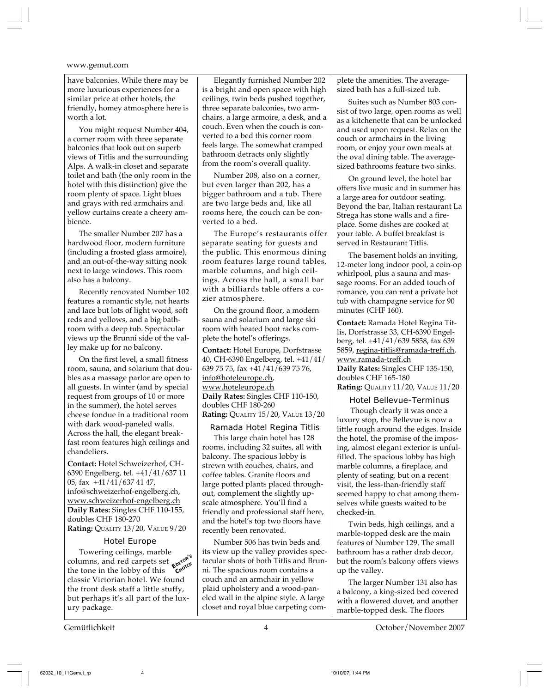have balconies. While there may be more luxurious experiences for a similar price at other hotels, the friendly, homey atmosphere here is worth a lot.

You might request Number 404, a corner room with three separate balconies that look out on superb views of Titlis and the surrounding Alps. A walk-in closet and separate toilet and bath (the only room in the hotel with this distinction) give the room plenty of space. Light blues and grays with red armchairs and yellow curtains create a cheery ambience.

The smaller Number 207 has a hardwood floor, modern furniture (including a frosted glass armoire), and an out-of-the-way sitting nook next to large windows. This room also has a balcony.

Recently renovated Number 102 features a romantic style, not hearts and lace but lots of light wood, soft reds and yellows, and a big bathroom with a deep tub. Spectacular views up the Brunni side of the valley make up for no balcony.

On the first level, a small fitness room, sauna, and solarium that doubles as a massage parlor are open to all guests. In winter (and by special request from groups of 10 or more in the summer), the hotel serves cheese fondue in a traditional room with dark wood-paneled walls. Across the hall, the elegant breakfast room features high ceilings and chandeliers.

**Contact:** Hotel Schweizerhof, CH-6390 Engelberg, tel. +41/41/637 11 05, fax +41/41/637 41 47, info@schweizerhof-engelberg.ch, www.schweizerhof-engelberg.ch **Daily Rates:** Singles CHF 110-155, doubles CHF 180-270 **Rating:** QUALITY 13/20, VALUE 9/20

#### Hotel Europe

Towering ceilings, marble columns, and red carpets set **E**<sup>p</sup>ropries the tone in the lobby of this the tone in the lobby of this classic Victorian hotel. We found the front desk staff a little stuffy, but perhaps it's all part of the luxury package.

Elegantly furnished Number 202 is a bright and open space with high ceilings, twin beds pushed together, three separate balconies, two armchairs, a large armoire, a desk, and a couch. Even when the couch is converted to a bed this corner room feels large. The somewhat cramped bathroom detracts only slightly from the room's overall quality.

Number 208, also on a corner, but even larger than 202, has a bigger bathroom and a tub. There are two large beds and, like all rooms here, the couch can be converted to a bed.

The Europe's restaurants offer separate seating for guests and the public. This enormous dining room features large round tables, marble columns, and high ceilings. Across the hall, a small bar with a billiards table offers a cozier atmosphere.

On the ground floor, a modern sauna and solarium and large ski room with heated boot racks complete the hotel's offerings.

**Contact:** Hotel Europe, Dorfstrasse 40, CH-6390 Engelberg, tel. +41/41/ 639 75 75, fax +41/41/639 75 76, info@hoteleurope.ch, www.hoteleurope.ch **Daily Rates:** Singles CHF 110-150, doubles CHF 180-260 **Rating:** QUALITY 15/20, VALUE 13/20

#### Ramada Hotel Regina Titlis

This large chain hotel has 128 rooms, including 32 suites, all with balcony. The spacious lobby is strewn with couches, chairs, and coffee tables. Granite floors and large potted plants placed throughout, complement the slightly upscale atmosphere. You'll find a friendly and professional staff here, and the hotel's top two floors have recently been renovated.

Number 506 has twin beds and its view up the valley provides spectacular shots of both Titlis and Brunni. The spacious room contains a couch and an armchair in yellow plaid upholstery and a wood-paneled wall in the alpine style. A large closet and royal blue carpeting complete the amenities. The averagesized bath has a full-sized tub.

Suites such as Number 803 consist of two large, open rooms as well as a kitchenette that can be unlocked and used upon request. Relax on the couch or armchairs in the living room, or enjoy your own meals at the oval dining table. The averagesized bathrooms feature two sinks.

On ground level, the hotel bar offers live music and in summer has a large area for outdoor seating. Beyond the bar, Italian restaurant La Strega has stone walls and a fireplace. Some dishes are cooked at your table. A buffet breakfast is served in Restaurant Titlis.

The basement holds an inviting, 12-meter long indoor pool, a coin-op whirlpool, plus a sauna and massage rooms. For an added touch of romance, you can rent a private hot tub with champagne service for 90 minutes (CHF 160).

**Contact:** Ramada Hotel Regina Titlis, Dorfstrasse 33, CH-6390 Engelberg, tel. +41/41/639 5858, fax 639 5859, regina-titlis@ramada-treff.ch, www.ramada-treff.ch **Daily Rates:** Singles CHF 135-150, doubles CHF 165-180 **Rating:** QUALITY 11/20, VALUE 11/20

#### Hotel Bellevue-Terminus

 Though clearly it was once a luxury stop, the Bellevue is now a little rough around the edges. Inside the hotel, the promise of the imposing, almost elegant exterior is unfulfilled. The spacious lobby has high marble columns, a fireplace, and plenty of seating, but on a recent visit, the less-than-friendly staff seemed happy to chat among themselves while guests waited to be checked-in.

Twin beds, high ceilings, and a marble-topped desk are the main features of Number 129. The small bathroom has a rather drab decor, but the room's balcony offers views up the valley.

The larger Number 131 also has a balcony, a king-sized bed covered with a flowered duvet, and another marble-topped desk. The floors

Gemütlichkeit 4 October/November 2007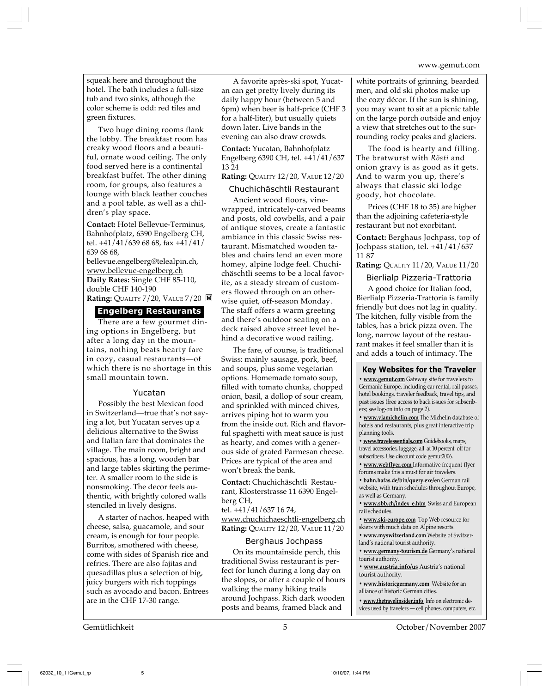squeak here and throughout the hotel. The bath includes a full-size tub and two sinks, although the color scheme is odd: red tiles and green fixtures.

Two huge dining rooms flank the lobby. The breakfast room has creaky wood floors and a beautiful, ornate wood ceiling. The only food served here is a continental breakfast buffet. The other dining room, for groups, also features a lounge with black leather couches and a pool table, as well as a children's play space.

**Contact:** Hotel Bellevue-Terminus, Bahnhofplatz, 6390 Engelberg CH, tel. +41/41/639 68 68, fax +41/41/ 639 68 68,

bellevue.engelberg@telealpin.ch, www.bellevue-engelberg.ch **Daily Rates:** Single CHF 85-110, double CHF 140-190 **Rating: QUALITY 7/20, VALUE 7/20 圖** 

#### **Engelberg Restaurants**

There are a few gourmet dining options in Engelberg, but after a long day in the mountains, nothing beats hearty fare in cozy, casual restaurants—of which there is no shortage in this small mountain town.

#### Yucatan

Possibly the best Mexican food in Switzerland—true that's not saying a lot, but Yucatan serves up a delicious alternative to the Swiss and Italian fare that dominates the village. The main room, bright and spacious, has a long, wooden bar and large tables skirting the perimeter. A smaller room to the side is nonsmoking. The decor feels authentic, with brightly colored walls stenciled in lively designs.

A starter of nachos, heaped with cheese, salsa, guacamole, and sour cream, is enough for four people. Burritos, smothered with cheese, come with sides of Spanish rice and refries. There are also fajitas and quesadillas plus a selection of big, juicy burgers with rich toppings such as avocado and bacon. Entrees are in the CHF 17-30 range.

A favorite après-ski spot, Yucatan can get pretty lively during its daily happy hour (between 5 and 6pm) when beer is half-price (CHF 3 for a half-liter), but usually quiets down later. Live bands in the evening can also draw crowds.

**Contact:** Yucatan, Bahnhofplatz Engelberg 6390 CH, tel. +41/41/637 13 24

#### **Rating:** QUALITY 12/20, VALUE 12/20

#### Chuchichäschtli Restaurant

Ancient wood floors, vinewrapped, intricately-carved beams and posts, old cowbells, and a pair of antique stoves, create a fantastic ambiance in this classic Swiss restaurant. Mismatched wooden tables and chairs lend an even more homey, alpine lodge feel. Chuchichäschtli seems to be a local favorite, as a steady stream of customers flowed through on an otherwise quiet, off-season Monday. The staff offers a warm greeting and there's outdoor seating on a deck raised above street level behind a decorative wood railing.

The fare, of course, is traditional Swiss: mainly sausage, pork, beef, and soups, plus some vegetarian options. Homemade tomato soup, filled with tomato chunks, chopped onion, basil, a dollop of sour cream, and sprinkled with minced chives, arrives piping hot to warm you from the inside out. Rich and flavorful spaghetti with meat sauce is just as hearty, and comes with a generous side of grated Parmesan cheese. Prices are typical of the area and won't break the bank.

**Contact:** Chuchichäschtli Restaurant, Klosterstrasse 11 6390 Engelberg CH,

tel. +41/41/637 16 74, www.chuchichaeschtli-engelberg.ch **Rating:** QUALITY 12/20, VALUE 11/20

#### Berghaus Jochpass

On its mountainside perch, this traditional Swiss restaurant is perfect for lunch during a long day on the slopes, or after a couple of hours walking the many hiking trails around Jochpass. Rich dark wooden posts and beams, framed black and

white portraits of grinning, bearded men, and old ski photos make up the cozy décor. If the sun is shining, you may want to sit at a picnic table on the large porch outside and enjoy a view that stretches out to the surrounding rocky peaks and glaciers.

The food is hearty and filling. The bratwurst with *Rösti* and onion gravy is as good as it gets. And to warm you up, there's always that classic ski lodge goody, hot chocolate.

Prices (CHF 18 to 35) are higher than the adjoining cafeteria-style restaurant but not exorbitant.

**Contact:** Berghaus Jochpass, top of Jochpass station, tel. +41/41/637 11 87

**Rating:** QUALITY 11/20, VALUE 11/20

#### Bierlialp Pizzeria-Trattoria

A good choice for Italian food, Bierlialp Pizzeria-Trattoria is family friendly but does not lag in quality. The kitchen, fully visible from the tables, has a brick pizza oven. The long, narrow layout of the restaurant makes it feel smaller than it is and adds a touch of intimacy. The

#### **Key Websites for the Traveler**

**• www.gemut.com** Gateway site for travelers to Germanic Europe, including car rental, rail passes, hotel bookings, traveler feedback, travel tips, and past issues (free access to back issues for subscribers; see log-on info on page 2).

**• www.viamichelin.com** The Michelin database of hotels and restaurants, plus great interactive trip planning tools.

**• www.travelessentials.com** Guidebooks, maps, travel accessories, luggage, all at 10 percent off for subscribers. Use discount code gemut2006.

**• www.webflyer.com** Informative frequent-flyer forums make this a must for air travelers.

**• bahn.hafas.de/bin/query.exe/en** German rail website, with train schedules throughout Europe, as well as Germany.

**• www.sbb.ch/index\_e.htm** Swiss and European rail schedules.

**• www.ski-europe.com** Top Web resource for skiers with much data on Alpine resorts.

**• www.myswitzerland.com** Website of Switzerland's national tourist authority.

**• www.germany-tourism.de** Germany's national tourist authority.

**• www.austria.info/us** Austria's national

tourist authority. **• www.historicgermany.com** Website for an

alliance of historic German cities.

**• www.thetravelinsider.info** Info on electronic devices used by travelers — cell phones, computers, etc.

Gemütlichkeit 5 October/November 2007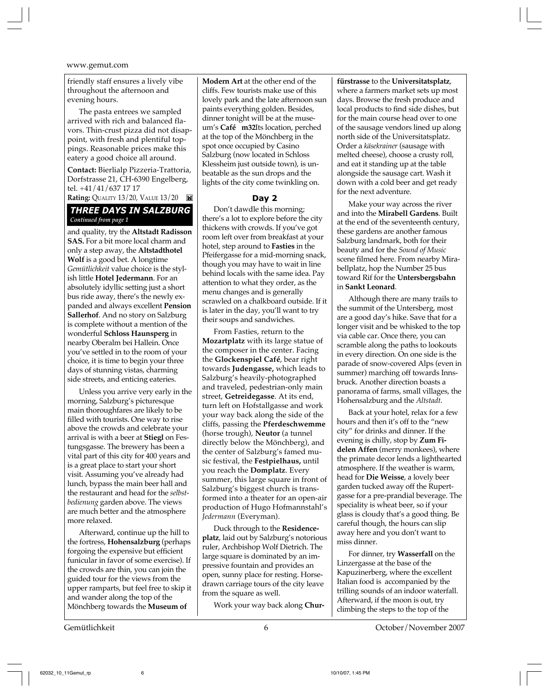friendly staff ensures a lively vibe throughout the afternoon and evening hours.

The pasta entrees we sampled arrived with rich and balanced flavors. Thin-crust pizza did not disappoint, with fresh and plentiful toppings. Reasonable prices make this eatery a good choice all around.

**Contact:** Bierlialp Pizzeria-Trattoria, Dorfstrasse 21, CH-6390 Engelberg, tel. +41/41/637 17 17

**Rating: QUALITY 13/20, VALUE 13/20** 

#### *THREE DAYS IN SALZBURG Continued from page 1*

and quality, try the **Altstadt Radisson SAS.** For a bit more local charm and only a step away, the **Altstadthotel Wolf** is a good bet. A longtime *Gemütlichkeit* value choice is the stylish little **Hotel Jedermann**. For an absolutely idyllic setting just a short bus ride away, there's the newly expanded and always excellent **Pension Sallerhof**. And no story on Salzburg is complete without a mention of the wonderful **Schloss Haunsperg** in nearby Oberalm bei Hallein. Once you've settled in to the room of your choice, it is time to begin your three days of stunning vistas, charming side streets, and enticing eateries.

Unless you arrive very early in the morning, Salzburg's picturesque main thoroughfares are likely to be filled with tourists. One way to rise above the crowds and celebrate your arrival is with a beer at **Stiegl** on Festungsgasse. The brewery has been a vital part of this city for 400 years and is a great place to start your short visit. Assuming you've already had lunch, bypass the main beer hall and the restaurant and head for the *selbstbedienung* garden above. The views are much better and the atmosphere more relaxed.

Afterward, continue up the hill to the fortress, **Hohensalzburg** (perhaps forgoing the expensive but efficient funicular in favor of some exercise). If the crowds are thin, you can join the guided tour for the views from the upper ramparts, but feel free to skip it and wander along the top of the Mönchberg towards the **Museum of**

**Modern Art** at the other end of the cliffs. Few tourists make use of this lovely park and the late afternoon sun paints everything golden. Besides, dinner tonight will be at the museum's Café m32Its location, perched at the top of the Mönchberg in the spot once occupied by Casino Salzburg (now located in Schloss Klessheim just outside town), is unbeatable as the sun drops and the lights of the city come twinkling on.

#### **Day 2**

Don't dawdle this morning; there's a lot to explore before the city thickens with crowds. If you've got room left over from breakfast at your hotel, step around to **Fasties** in the Pfeifergasse for a mid-morning snack, though you may have to wait in line behind locals with the same idea. Pay attention to what they order, as the menu changes and is generally scrawled on a chalkboard outside. If it is later in the day, you'll want to try their soups and sandwiches.

From Fasties, return to the **Mozartplatz** with its large statue of the composer in the center. Facing the **Glockenspiel Café**, bear right towards **Judengasse,** which leads to Salzburg's heavily-photographed and traveled, pedestrian-only main street, **Getreidegasse**. At its end, turn left on Hofstallgasse and work your way back along the side of the cliffs, passing the **Pferdeschwemme** (horse trough), **Neutor** (a tunnel directly below the Mönchberg), and the center of Salzburg's famed music festival, the **Festpielhaus,** until you reach the **Domplatz**. Every summer, this large square in front of Salzburg's biggest church is transformed into a theater for an open-air production of Hugo Hofmannstahl's *Jedermann* (Everyman).

Duck through to the **Residenceplatz**, laid out by Salzburg's notorious ruler, Archbishop Wolf Dietrich. The large square is dominated by an impressive fountain and provides an open, sunny place for resting. Horsedrawn carriage tours of the city leave from the square as well.

Work your way back along **Chur-**

**fürstrasse** to the **Universitatsplatz**, where a farmers market sets up most days. Browse the fresh produce and local products to find side dishes, but for the main course head over to one of the sausage vendors lined up along north side of the Universitatsplatz. Order a *käsekrainer* (sausage with melted cheese), choose a crusty roll, and eat it standing up at the table alongside the sausage cart. Wash it down with a cold beer and get ready for the next adventure.

Make your way across the river and into the **Mirabell Gardens**. Built at the end of the seventeenth century, these gardens are another famous Salzburg landmark, both for their beauty and for the *Sound of Music* scene filmed here. From nearby Mirabellplatz, hop the Number 25 bus toward Rif for the **Untersbergsbahn** in **Sankt Leonard**.

Although there are many trails to the summit of the Untersberg, most are a good day's hike. Save that for a longer visit and be whisked to the top via cable car. Once there, you can scramble along the paths to lookouts in every direction. On one side is the parade of snow-covered Alps (even in summer) marching off towards Innsbruck. Another direction boasts a panorama of farms, small villages, the Hohensalzburg and the *Altstadt*.

Back at your hotel, relax for a few hours and then it's off to the "new city" for drinks and dinner. If the evening is chilly, stop by **Zum Fidelen Affen** (merry monkees), where the primate decor lends a lighthearted atmosphere. If the weather is warm, head for **Die Weisse**, a lovely beer garden tucked away off the Rupertgasse for a pre-prandial beverage. The speciality is wheat beer, so if your glass is cloudy that's a good thing. Be careful though, the hours can slip away here and you don't want to miss dinner.

For dinner, try **Wasserfall** on the Linzergasse at the base of the Kapuzinerberg, where the excellent Italian food is accompanied by the trilling sounds of an indoor waterfall. Afterward, if the moon is out, try climbing the steps to the top of the

Gemütlichkeit 6 October/November 2007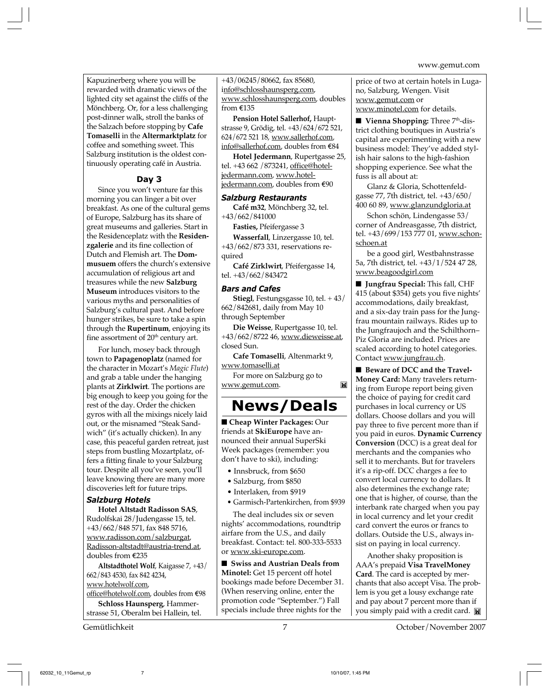Kapuzinerberg where you will be rewarded with dramatic views of the lighted city set against the cliffs of the Mönchberg. Or, for a less challenging post-dinner walk, stroll the banks of the Salzach before stopping by **Cafe Tomaselli** in the **Altermarktplatz** for coffee and something sweet. This Salzburg institution is the oldest continuously operating café in Austria.

#### **Day 3**

Since you won't venture far this morning you can linger a bit over breakfast. As one of the cultural gems of Europe, Salzburg has its share of great museums and galleries. Start in the Residenceplatz with the **Residenzgalerie** and its fine collection of Dutch and Flemish art. The **Dommusuem** offers the church's extensive accumulation of religious art and treasures while the new **Salzburg Museum** introduces visitors to the various myths and personalities of Salzburg's cultural past. And before hunger strikes, be sure to take a spin through the **Rupertinum**, enjoying its fine assortment of 20<sup>th</sup> century art.

For lunch, mosey back through town to **Papagenoplatz** (named for the character in Mozart's *Magic Flute*) and grab a table under the hanging plants at **Zirklwirt**. The portions are big enough to keep you going for the rest of the day. Order the chicken gyros with all the mixings nicely laid out, or the misnamed "Steak Sandwich" (it's actually chicken). In any case, this peaceful garden retreat, just steps from bustling Mozartplatz, offers a fitting finale to your Salzburg tour. Despite all you've seen, you'll leave knowing there are many more discoveries left for future trips.

#### *Salzburg Hotels*

**Hotel Altstadt Radisson SAS**, Rudolfskai 28/Judengasse 15, tel. +43/662/848 571, fax 848 5716, www.radisson.com/salzburgat, Radisson-altstadt@austria-trend.at, doubles from E235

**Altstadthotel Wolf**, Kaigasse 7, +43/ 662/843 4530, fax 842 4234, www.hotelwolf.com,

office@hotelwolf.com, doubles from E98 **Schloss Haunsperg**, Hammerstrasse 51, Oberalm bei Hallein, tel.

+43/06245/80662, fax 85680, info@schlosshaunsperg.com, www.schlosshaunsperg.com, doubles from E135

**Pension Hotel Sallerhof,** Hauptstrasse 9, Grödig, tel. +43/624/672 521, 624/672 521 18, www.sallerhof.com, info@sallerhof.com, doubles from E84

**Hotel Jedermann**, Rupertgasse 25, tel. +43 662 /873241, office@hoteljedermann.com, www.hoteljedermann.com, doubles from E90

#### *Salzburg Restaurants*

**Café m32**, Mönchberg 32, tel. +43/662/841000

#### **Fasties,** Pfeifergasse 3

**Wasserfall**, Linzergasse 10, tel. +43/662/873 331, reservations required

**Café Zirklwirt**, Pfeifergasse 14, tel. +43/662/843472

#### *Bars and Cafes*

**Stiegl**, Festungsgasse 10, tel. + 43/ 662/842681, daily from May 10 through September

**Die Weisse**, Rupertgasse 10, tel. +43/662/8722 46, www.dieweisse.at, closed Sun.

**Cafe Tomaselli**, Altenmarkt 9, www.tomaselli.at

For more on Salzburg go to www.gemut.com.

## **News/Deals**

ĬX

■ Cheap Winter Packages: Our friends at **SkiEurope** have announced their annual SuperSki Week packages (remember: you don't have to ski), including:

- Innsbruck, from \$650
- Salzburg, from \$850
- Interlaken, from \$919
- Garmisch-Partenkirchen, from \$939

The deal includes six or seven nights' accommodations, roundtrip airfare from the U.S., and daily breakfast. Contact: tel. 800-333-5533 or www.ski-europe.com.

■ Swiss and Austrian Deals from **Minotel:** Get 15 percent off hotel bookings made before December 31. (When reserving online, enter the promotion code "September.") Fall specials include three nights for the

price of two at certain hotels in Lugano, Salzburg, Wengen. Visit www.gemut.com or www.minotel.com for details.

■ **Vienna Shopping:** Three 7<sup>th</sup>-district clothing boutiques in Austria's capital are experimenting with a new business model: They've added stylish hair salons to the high-fashion shopping experience. See what the fuss is all about at:

Glanz & Gloria, Schottenfeldgasse 77, 7th district, tel. +43/650/ 400 60 89, www.glanzundgloria.at

Schon schön, Lindengasse 53/ corner of Andreasgasse, 7th district, tel. +43/699/153 777 01, www.schonschoen.at

be a good girl, Westbahnstrasse 5a, 7th district, tel. +43/1/524 47 28, www.beagoodgirl.com

■ **Jungfrau Special:** This fall, CHF 415 (about \$354) gets you five nights' accommodations, daily breakfast, and a six-day train pass for the Jungfrau mountain railways. Rides up to the Jungfraujoch and the Schilthorn– Piz Gloria are included. Prices are scaled according to hotel categories. Contact www.jungfrau.ch.

■ Beware of DCC and the Travel-**Money Card:** Many travelers returning from Europe report being given the choice of paying for credit card purchases in local currency or US dollars. Choose dollars and you will pay three to five percent more than if you paid in euros. **Dynamic Currency Conversion** (DCC) is a great deal for merchants and the companies who sell it to merchants. But for travelers it's a rip-off. DCC charges a fee to convert local currency to dollars. It also determines the exchange rate; one that is higher, of course, than the interbank rate charged when you pay in local currency and let your credit card convert the euros or francs to dollars. Outside the U.S., always insist on paying in local currency.

Another shaky proposition is AAA's prepaid **Visa TravelMoney Card**. The card is accepted by merchants that also accept Visa. The problem is you get a lousy exchange rate and pay about 7 percent more than if you simply paid with a credit card.

Gemütlichkeit 7 October/November 2007